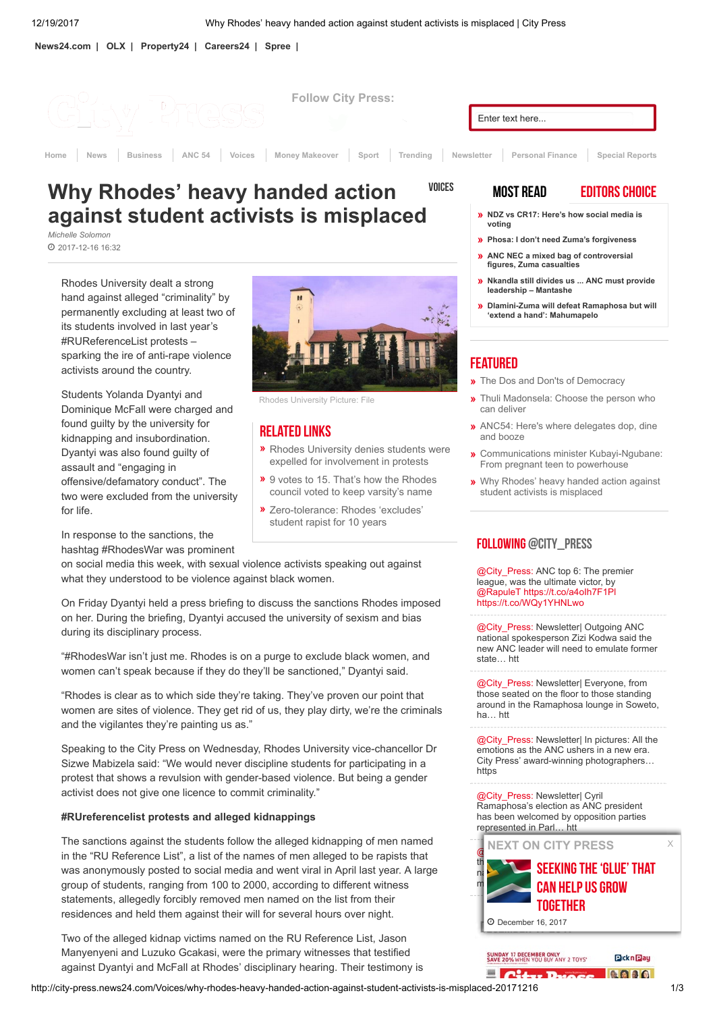[News24.com](http://www.news24.com/) | [OLX](https://www.olx.co.za/) | [Property24](https://www.property24.com/) | [Careers24](https://www.careers24.com/) | [Spree](https://www.spree.co.za/) |



# **VOICES** Why Rhodes' heavy handed action against student activists is misplaced

Michelle Solomon 2017-12-16 16:32

> Rhodes University dealt a strong hand against alleged "criminality" by permanently excluding at least two of its students involved in last year's #RUReferenceList protests – sparking the ire of anti-rape violence activists around the country.

Students Yolanda Dyantyi and Dominique McFall were charged and found guilty by the university for kidnapping and insubordination. Dyantyi was also found guilty of assault and "engaging in offensive/defamatory conduct". The two were excluded from the university for life.



Rhodes University Picture: File

# Related Links

- **»** Rhodes University denies students were expelled for [involvement](http://city-press.news24.com/News/rhodes-university-denies-students-were-expelled-for-involvement-in-protests-20171213) in protests
- **»** 9 votes to 15. That's how the Rhodes council voted to keep [varsity's](http://city-press.news24.com/News/9-votes-to-15-thats-how-the-rhodes-council-voted-to-keep-the-varsitys-name-20171206) name
- » [Zero-tolerance:](http://city-press.news24.com/News/zero-tolerance-rhodes-excludes-student-rapist-for-10-years-20170518) Rhodes 'excludes' student rapist for 10 years

In response to the sanctions, the hashtag #RhodesWar was prominent

on social media this week, with sexual violence activists speaking out against what they understood to be violence against black women.

On Friday Dyantyi held a press briefing to discuss the sanctions Rhodes imposed on her. During the briefing, Dyantyi accused the university of sexism and bias during its disciplinary process.

"#RhodesWar isn't just me. Rhodes is on a purge to exclude black women, and women can't speak because if they do they'll be sanctioned," Dyantyi said.

"Rhodes is clear as to which side they're taking. They've proven our point that women are sites of violence. They get rid of us, they play dirty, we're the criminals and the vigilantes they're painting us as."

Speaking to the City Press on Wednesday, Rhodes University vice-chancellor Dr Sizwe Mabizela said: "We would never discipline students for participating in a protest that shows a revulsion with gender-based violence. But being a gender activist does not give one licence to commit criminality."

### #RUreferencelist protests and alleged kidnappings

The sanctions against the students follow the alleged kidnapping of men named in the "RU Reference List", a list of the names of men alleged to be rapists that was anonymously posted to social media and went viral in April last year. A large group of students, ranging from 100 to 2000, according to different witness statements, allegedly forcibly removed men named on the list from their residences and held them against their will for several hours over night.

Two of the alleged kidnap victims named on the RU Reference List, Jason Manyenyeni and Luzuko Gcakasi, were the primary witnesses that testified against Dyantyi and McFall at Rhodes' disciplinary hearing. Their testimony is

## MOST READ EDITORS CHOICE

- » [NDZ vs CR17: Here's how social media is](http://city-press.news24.com/Special-Report/ANC_Conference/ndz-vs-cr17-heres-how-social-media-is-voting-20171218) voting
- » [Phosa: I don't need Zuma's forgiveness](http://city-press.news24.com/Special-Report/ANC_Conference/phosa-i-dont-need-zumas-forgiveness-20171217)
- [ANC NEC a mixed bag of controversial](http://city-press.news24.com/Special-Report/ANC_Conference/anc-nec-a-mixed-bag-of-controversial-figures-zuma-casualties-20171218) figures, Zuma casualties »
- » [Nkandla still divides us ... ANC must provide](http://city-press.news24.com/Special-Report/ANC_Conference/nkandla-still-divides-us-anc-must-provide-leadership-mantashe-20171218) leadership – Mantashe
- » [Dlamini-Zuma will defeat Ramaphosa but will](http://city-press.news24.com/Special-Report/ANC_Conference/dlamini-zuma-will-defeat-ramaphosa-but-will-extend-a-hand-mahumapelo-20171217) 'extend a hand': Mahumapelo

# **FEATURED**

- The Dos and Don'ts of [Democracy](http://www.news24.com/Columnists/GuestColumn/the-dos-and-donts-of-democracy-20171217-2)
- [Thuli Madonsela:](http://www.news24.com/Columnists/GuestColumn/choose-the-person-who-can-deliver-20171215) Choose the person who can deliver »
- ANC54: Here's where [delegates](http://www.news24.com/SouthAfrica/News/where-delegates-dop-dine-and-doze-20171217-2) dop, dine » and booze
- Communications minister [Kubayi-Ngubane:](http://www.news24.com/SouthAfrica/News/from-pregnant-teen-to-powerhouse-20171216) » From pregnant teen to powerhouse
- Why [Rhodes' heavy](http://city-press.news24.com/Voices/why-rhodes-heavy-handed-action-against-student-activists-is-misplaced-20171216) handed action against » student activists is misplaced

# FOLLOWING [@CITY\\_PRESS](http://twitter.com/@city_press)

[@City\\_Press:](http://www.twitter.com/City_Press) ANC top 6: The premier league, was the ultimate victor, by [@RapuleT](http://twitter.com/RapuleT) <https://t.co/a4oIh7F1Pl> <https://t.co/WQy1YHNLwo>

[@City\\_Press:](http://www.twitter.com/City_Press) Newsletter| Outgoing ANC national spokesperson Zizi Kodwa said the new ANC leader will need to emulate former state… htt

[@City\\_Press:](http://www.twitter.com/City_Press) Newsletter| Everyone, from those seated on the floor to those standing around in the Ramaphosa lounge in Soweto, ha… htt

[@City\\_Press:](http://www.twitter.com/City_Press) Newsletter| In pictures: All the emotions as the ANC ushers in a new era. City Press' award-winning photographers… https

[@City\\_Press:](http://www.twitter.com/City_Press) Newsletter| Cyril Ramaphosa's election as ANC president has been welcomed by opposition parties represented in Parl… htt



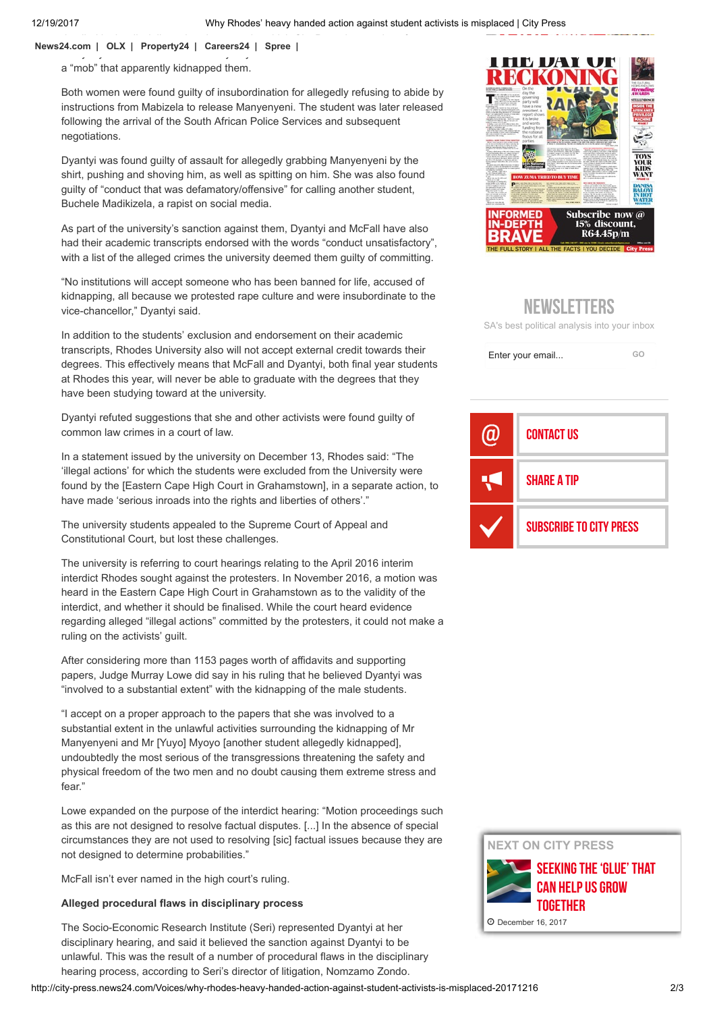12/19/2017 Why Rhodes' heavy handed action against student activists is misplaced | City Press

 $\mathbf{C}$ Manyenyeni and Gcakasi named Dyantyi and McFall as two of the leaders behind [News24.com](http://www.news24.com/) | [OLX](https://www.olx.co.za/) | [Property24](https://www.property24.com/) | [Careers24](https://www.careers24.com/) | [Spree](https://www.spree.co.za/) |

a "mob" that apparently kidnapped them.

Both women were found guilty of insubordination for allegedly refusing to abide by instructions from Mabizela to release Manyenyeni. The student was later released following the arrival of the South African Police Services and subsequent negotiations.

Dyantyi was found guilty of assault for allegedly grabbing Manyenyeni by the shirt, pushing and shoving him, as well as spitting on him. She was also found guilty of "conduct that was defamatory/offensive" for calling another student, Buchele Madikizela, a rapist on social media.

As part of the university's sanction against them, Dyantyi and McFall have also had their academic transcripts endorsed with the words "conduct unsatisfactory", with a list of the alleged crimes the university deemed them guilty of committing.

"No institutions will accept someone who has been banned for life, accused of kidnapping, all because we protested rape culture and were insubordinate to the vice-chancellor," Dyantyi said.

In addition to the students' exclusion and endorsement on their academic transcripts, Rhodes University also will not accept external credit towards their degrees. This effectively means that McFall and Dyantyi, both final year students at Rhodes this year, will never be able to graduate with the degrees that they have been studying toward at the university.

Dyantyi refuted suggestions that she and other activists were found guilty of common law crimes in a court of law.

In a statement issued by the university on December 13, Rhodes said: "The 'illegal actions' for which the students were excluded from the University were found by the [Eastern Cape High Court in Grahamstown], in a separate action, to have made 'serious inroads into the rights and liberties of others'."

The university students appealed to the Supreme Court of Appeal and Constitutional Court, but lost these challenges.

The university is referring to court hearings relating to the April 2016 interim interdict Rhodes sought against the protesters. In November 2016, a motion was heard in the Eastern Cape High Court in Grahamstown as to the validity of the interdict, and whether it should be finalised. While the court heard evidence regarding alleged "illegal actions" committed by the protesters, it could not make a ruling on the activists' guilt.

After considering more than 1153 pages worth of affidavits and supporting papers, Judge Murray Lowe did say in his ruling that he believed Dyantyi was "involved to a substantial extent" with the kidnapping of the male students.

"I accept on a proper approach to the papers that she was involved to a substantial extent in the unlawful activities surrounding the kidnapping of Mr Manyenyeni and Mr [Yuyo] Myoyo [another student allegedly kidnapped], undoubtedly the most serious of the transgressions threatening the safety and physical freedom of the two men and no doubt causing them extreme stress and fear."

Lowe expanded on the purpose of the interdict hearing: "Motion proceedings such as this are not designed to resolve factual disputes. [...] In the absence of special circumstances they are not used to resolving [sic] factual issues because they are not designed to determine probabilities."

McFall isn't ever named in the high court's ruling.

#### Alleged procedural flaws in disciplinary process

The Socio-Economic Research Institute (Seri) represented Dyantyi at her disciplinary hearing, and said it believed the sanction against Dyantyi to be unlawful. This was the result of a number of procedural flaws in the disciplinary hearing process, according to Seri's director of litigation, Nomzamo Zondo.



# NEWSI FTTERS

SA's best political analysis into your inbox

Enter your email... [GO](javascript:void(0);)